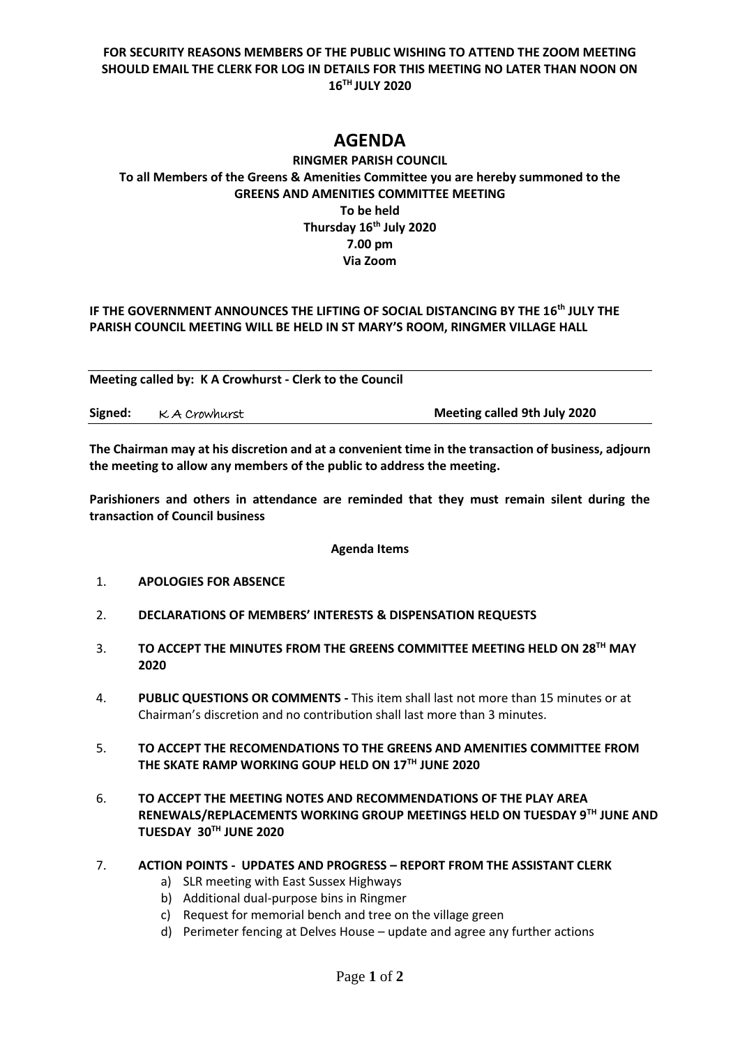# **FOR SECURITY REASONS MEMBERS OF THE PUBLIC WISHING TO ATTEND THE ZOOM MEETING SHOULD EMAIL THE CLERK FOR LOG IN DETAILS FOR THIS MEETING NO LATER THAN NOON ON 16TH JULY 2020**

# **AGENDA**

# **RINGMER PARISH COUNCIL To all Members of the Greens & Amenities Committee you are hereby summoned to the GREENS AND AMENITIES COMMITTEE MEETING To be held Thursday 16th July 2020 7.00 pm Via Zoom**

## IF THE GOVERNMENT ANNOUNCES THE LIFTING OF SOCIAL DISTANCING BY THE 16<sup>th</sup> JULY THE **PARISH COUNCIL MEETING WILL BE HELD IN ST MARY'S ROOM, RINGMER VILLAGE HALL**

**Meeting called by: K A Crowhurst - Clerk to the Council Signed:** K A Crowhurst **Meeting called 9th July 2020**

**The Chairman may at his discretion and at a convenient time in the transaction of business, adjourn the meeting to allow any members of the public to address the meeting.**

**Parishioners and others in attendance are reminded that they must remain silent during the transaction of Council business**

#### **Agenda Items**

- 1. **APOLOGIES FOR ABSENCE**
- 2. **DECLARATIONS OF MEMBERS' INTERESTS & DISPENSATION REQUESTS**
- 3. **TO ACCEPT THE MINUTES FROM THE GREENS COMMITTEE MEETING HELD ON 28TH MAY 2020**
- 4. **PUBLIC QUESTIONS OR COMMENTS -** This item shall last not more than 15 minutes or at Chairman's discretion and no contribution shall last more than 3 minutes.
- 5. **TO ACCEPT THE RECOMENDATIONS TO THE GREENS AND AMENITIES COMMITTEE FROM THE SKATE RAMP WORKING GOUP HELD ON 17TH JUNE 2020**
- 6. **TO ACCEPT THE MEETING NOTES AND RECOMMENDATIONS OF THE PLAY AREA RENEWALS/REPLACEMENTS WORKING GROUP MEETINGS HELD ON TUESDAY 9TH JUNE AND TUESDAY 30TH JUNE 2020**

#### 7. **ACTION POINTS - UPDATES AND PROGRESS – REPORT FROM THE ASSISTANT CLERK**

- a) SLR meeting with East Sussex Highways
- b) Additional dual-purpose bins in Ringmer
- c) Request for memorial bench and tree on the village green
- d) Perimeter fencing at Delves House update and agree any further actions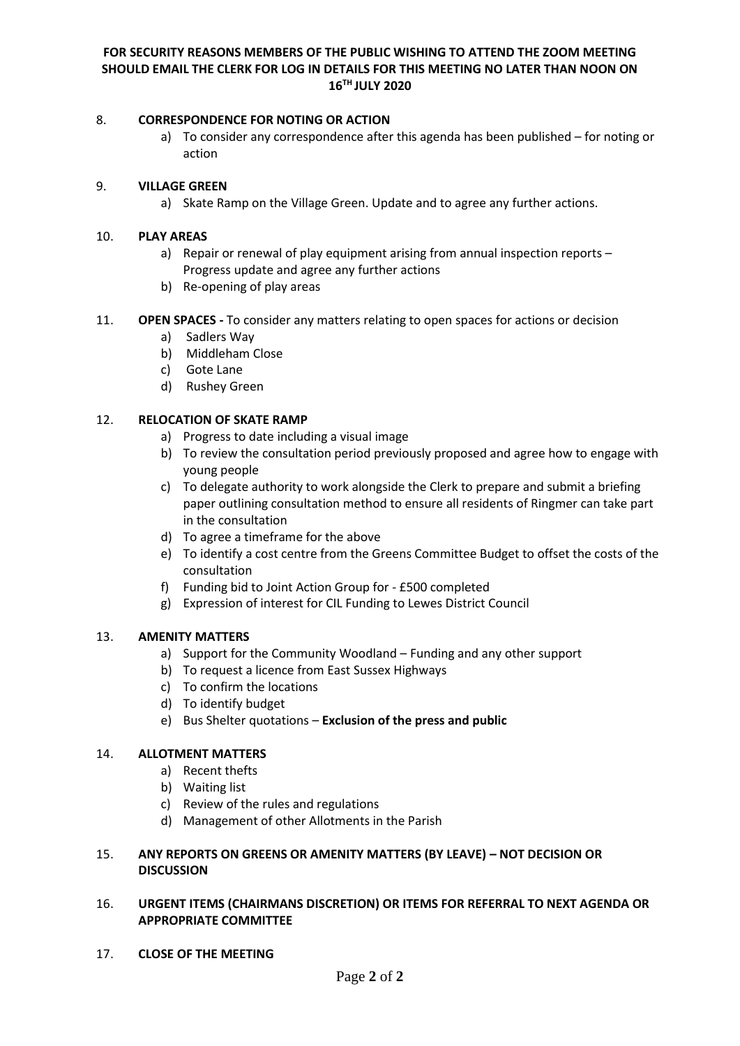## **FOR SECURITY REASONS MEMBERS OF THE PUBLIC WISHING TO ATTEND THE ZOOM MEETING SHOULD EMAIL THE CLERK FOR LOG IN DETAILS FOR THIS MEETING NO LATER THAN NOON ON 16TH JULY 2020**

#### 8. **CORRESPONDENCE FOR NOTING OR ACTION**

a) To consider any correspondence after this agenda has been published – for noting or action

#### 9. **VILLAGE GREEN**

a) Skate Ramp on the Village Green. Update and to agree any further actions.

## 10. **PLAY AREAS**

- a) Repair or renewal of play equipment arising from annual inspection reports Progress update and agree any further actions
- b) Re-opening of play areas
- 11. **OPEN SPACES -** To consider any matters relating to open spaces for actions or decision
	- a) Sadlers Way
	- b) Middleham Close
	- c) Gote Lane
	- d) Rushey Green

# 12. **RELOCATION OF SKATE RAMP**

- a) Progress to date including a visual image
- b) To review the consultation period previously proposed and agree how to engage with young people
- c) To delegate authority to work alongside the Clerk to prepare and submit a briefing paper outlining consultation method to ensure all residents of Ringmer can take part in the consultation
- d) To agree a timeframe for the above
- e) To identify a cost centre from the Greens Committee Budget to offset the costs of the consultation
- f) Funding bid to Joint Action Group for £500 completed
- g) Expression of interest for CIL Funding to Lewes District Council

# 13. **AMENITY MATTERS**

- a) Support for the Community Woodland Funding and any other support
- b) To request a licence from East Sussex Highways
- c) To confirm the locations
- d) To identify budget
- e) Bus Shelter quotations **Exclusion of the press and public**

# 14. **ALLOTMENT MATTERS**

- a) Recent thefts
- b) Waiting list
- c) Review of the rules and regulations
- d) Management of other Allotments in the Parish

## 15. **ANY REPORTS ON GREENS OR AMENITY MATTERS (BY LEAVE) – NOT DECISION OR DISCUSSION**

## 16. **URGENT ITEMS (CHAIRMANS DISCRETION) OR ITEMS FOR REFERRAL TO NEXT AGENDA OR APPROPRIATE COMMITTEE**

17. **CLOSE OF THE MEETING**